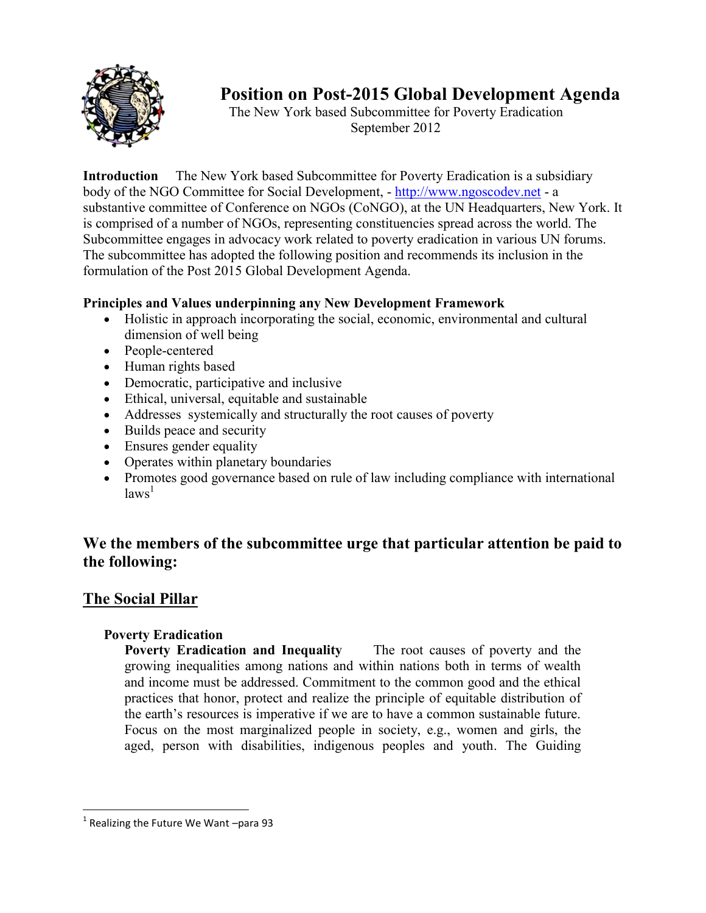

# **Position on Post-2015 Global Development Agenda**

The New York based Subcommittee for Poverty Eradication September 2012

**Introduction** The New York based Subcommittee for Poverty Eradication is a subsidiary body of the NGO Committee for Social Development, - [http://www.ngoscodev.net](http://www.ngoscodev.net/) - a substantive committee of Conference on NGOs (CoNGO), at the UN Headquarters, New York. It is comprised of a number of NGOs, representing constituencies spread across the world. The Subcommittee engages in advocacy work related to poverty eradication in various UN forums. The subcommittee has adopted the following position and recommends its inclusion in the formulation of the Post 2015 Global Development Agenda.

### **Principles and Values underpinning any New Development Framework**

- Holistic in approach incorporating the social, economic, environmental and cultural dimension of well being
- People-centered
- Human rights based
- Democratic, participative and inclusive
- Ethical, universal, equitable and sustainable
- Addresses systemically and structurally the root causes of poverty
- Builds peace and security
- Ensures gender equality
- Operates within planetary boundaries
- Promotes good governance based on rule of law including compliance with international  $laws<sup>1</sup>$

# **We the members of the subcommittee urge that particular attention be paid to the following:**

# **The Social Pillar**

### **Poverty Eradication**

**Poverty Eradication and Inequality** The root causes of poverty and the growing inequalities among nations and within nations both in terms of wealth and income must be addressed. Commitment to the common good and the ethical practices that honor, protect and realize the principle of equitable distribution of the earth's resources is imperative if we are to have a common sustainable future. Focus on the most marginalized people in society, e.g., women and girls, the aged, person with disabilities, indigenous peoples and youth. The Guiding

 $1$  Realizing the Future We Want –para 93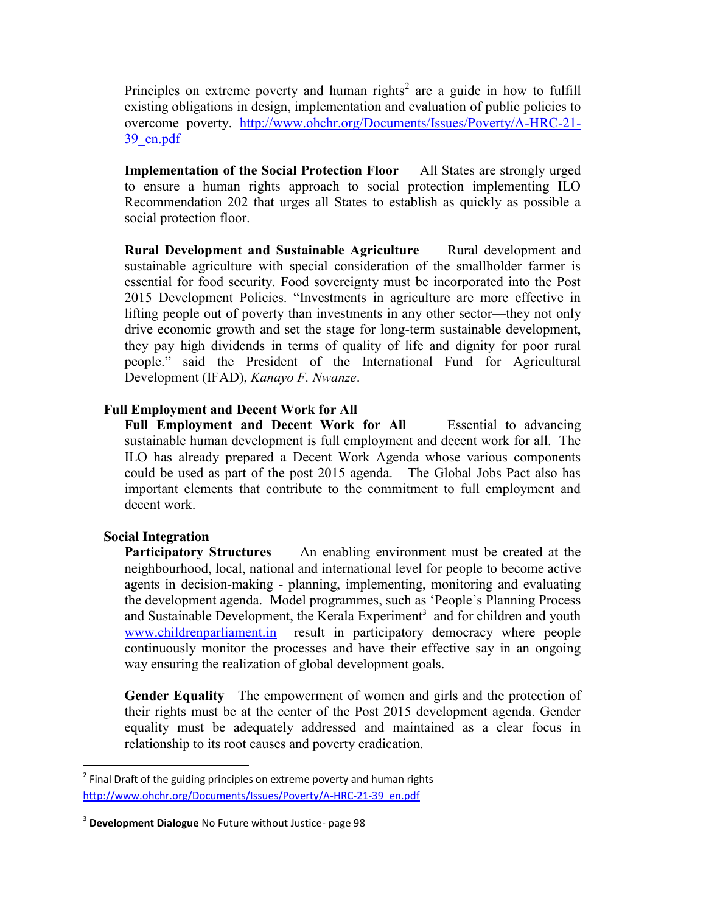Principles on extreme poverty and human rights<sup>2</sup> are a guide in how to fulfill existing obligations in design, implementation and evaluation of public policies to overcome poverty. [http://www.ohchr.org/Documents/Issues/Poverty/A-HRC-21-](http://www.ohchr.org/Documents/Issues/Poverty/A-HRC-21-39_en.pdf) [39\\_en.pdf](http://www.ohchr.org/Documents/Issues/Poverty/A-HRC-21-39_en.pdf)

**Implementation of the Social Protection Floor** All States are strongly urged to ensure a human rights approach to social protection implementing ILO Recommendation 202 that urges all States to establish as quickly as possible a social protection floor.

**Rural Development and Sustainable Agriculture** Rural development and sustainable agriculture with special consideration of the smallholder farmer is essential for food security. Food sovereignty must be incorporated into the Post 2015 Development Policies. "Investments in agriculture are more effective in lifting people out of poverty than investments in any other sector—they not only drive economic growth and set the stage for long-term sustainable development, they pay high dividends in terms of quality of life and dignity for poor rural people." said the President of the International Fund for Agricultural Development (IFAD), *Kanayo F. Nwanze*.

#### **Full Employment and Decent Work for All**

Full Employment and Decent Work for All **Essential to advancing** sustainable human development is full employment and decent work for all. The ILO has already prepared a Decent Work Agenda whose various components could be used as part of the post 2015 agenda. The Global Jobs Pact also has important elements that contribute to the commitment to full employment and decent work.

#### **Social Integration**

**Participatory Structures** An enabling environment must be created at the neighbourhood, local, national and international level for people to become active agents in decision-making - planning, implementing, monitoring and evaluating the development agenda. Model programmes, such as 'People's Planning Process and Sustainable Development, the Kerala Experiment<sup>3</sup> and for children and youth [www.childrenparliament.in](http://www.childrenparliament.in/) result in participatory democracy where people continuously monitor the processes and have their effective say in an ongoing way ensuring the realization of global development goals.

**Gender Equality** The empowerment of women and girls and the protection of their rights must be at the center of the Post 2015 development agenda. Gender equality must be adequately addressed and maintained as a clear focus in relationship to its root causes and poverty eradication.

 $2$  Final Draft of the guiding principles on extreme poverty and human rights [http://www.ohchr.org/Documents/Issues/Poverty/A-HRC-21-39\\_en.pdf](http://www.ohchr.org/Documents/Issues/Poverty/A-HRC-21-39_en.pdf)

<sup>3</sup> **Development Dialogue** No Future without Justice- page 98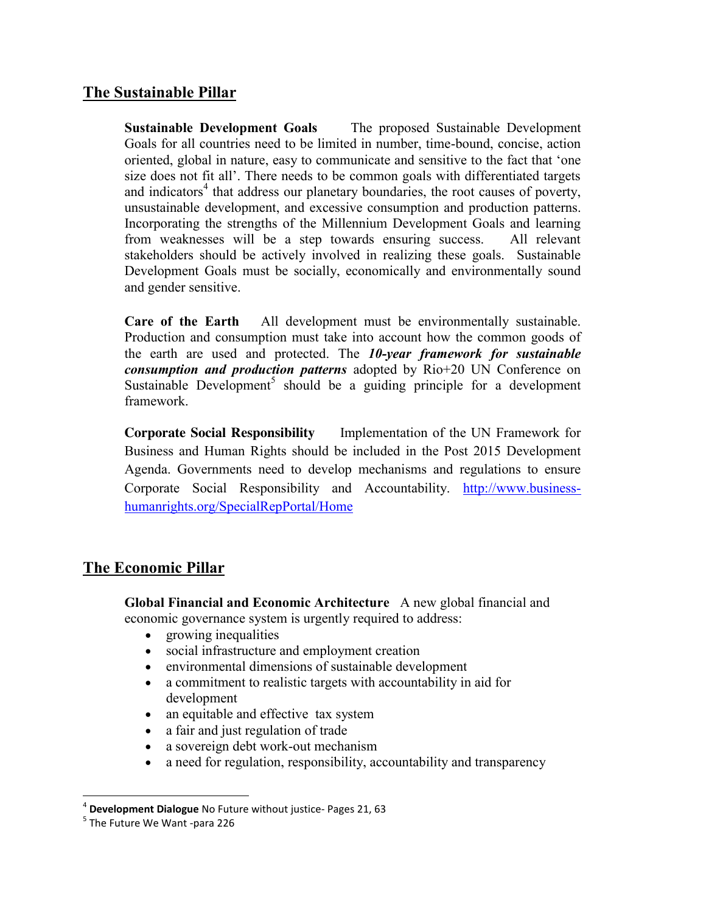### **The Sustainable Pillar**

**Sustainable Development Goals** The proposed Sustainable Development Goals for all countries need to be limited in number, time-bound, concise, action oriented, global in nature, easy to communicate and sensitive to the fact that 'one size does not fit all'. There needs to be common goals with differentiated targets and indicators<sup>4</sup> that address our planetary boundaries, the root causes of poverty, unsustainable development, and excessive consumption and production patterns. Incorporating the strengths of the Millennium Development Goals and learning from weaknesses will be a step towards ensuring success. All relevant stakeholders should be actively involved in realizing these goals. Sustainable Development Goals must be socially, economically and environmentally sound and gender sensitive.

**Care of the Earth** All development must be environmentally sustainable. Production and consumption must take into account how the common goods of the earth are used and protected. The *10-year framework for sustainable consumption and production patterns* adopted by Rio+20 UN Conference on Sustainable Development<sup>5</sup> should be a guiding principle for a development framework.

**Corporate Social Responsibility** Implementation of the UN Framework for Business and Human Rights should be included in the Post 2015 Development Agenda. Governments need to develop mechanisms and regulations to ensure Corporate Social Responsibility and Accountability. [http://www.business](http://www.business-humanrights.org/SpecialRepPortal/Home)[humanrights.org/SpecialRepPortal/Home](http://www.business-humanrights.org/SpecialRepPortal/Home)

### **The Economic Pillar**

**Global Financial and Economic Architecture** A new global financial and economic governance system is urgently required to address:

- growing inequalities
- social infrastructure and employment creation
- environmental dimensions of sustainable development
- a commitment to realistic targets with accountability in aid for development
- an equitable and effective tax system
- a fair and just regulation of trade
- a sovereign debt work-out mechanism
- a need for regulation, responsibility, accountability and transparency

<sup>&</sup>lt;sup>4</sup> **Development Dialogue** No Future without justice- Pages 21, 63 <sup>5</sup> The Future We Want -para 226